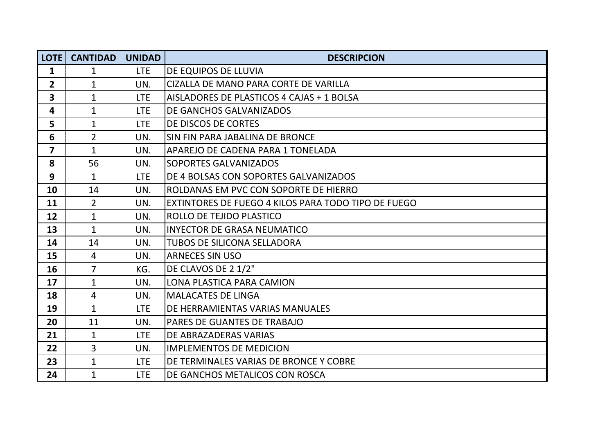| <b>LOTE</b>             | <b>CANTIDAD</b> | <b>UNIDAD</b> | <b>DESCRIPCION</b>                                  |
|-------------------------|-----------------|---------------|-----------------------------------------------------|
| $\mathbf{1}$            | $\mathbf{1}$    | <b>LTE</b>    | DE EQUIPOS DE LLUVIA                                |
| $\overline{2}$          | $\mathbf{1}$    | UN.           | CIZALLA DE MANO PARA CORTE DE VARILLA               |
| $\overline{\mathbf{3}}$ | $\mathbf{1}$    | <b>LTE</b>    | AISLADORES DE PLASTICOS 4 CAJAS + 1 BOLSA           |
| 4                       | $\mathbf{1}$    | <b>LTE</b>    | DE GANCHOS GALVANIZADOS                             |
| 5                       | $\mathbf{1}$    | <b>LTE</b>    | DE DISCOS DE CORTES                                 |
| 6                       | $\overline{2}$  | UN.           | SIN FIN PARA JABALINA DE BRONCE                     |
| $\overline{7}$          | $\mathbf{1}$    | UN.           | APAREJO DE CADENA PARA 1 TONELADA                   |
| 8                       | 56              | UN.           | SOPORTES GALVANIZADOS                               |
| 9                       | $\mathbf{1}$    | <b>LTE</b>    | DE 4 BOLSAS CON SOPORTES GALVANIZADOS               |
| 10                      | 14              | UN.           | ROLDANAS EM PVC CON SOPORTE DE HIERRO               |
| 11                      | $\overline{2}$  | UN.           | EXTINTORES DE FUEGO 4 KILOS PARA TODO TIPO DE FUEGO |
| 12                      | $\mathbf{1}$    | UN.           | ROLLO DE TEJIDO PLASTICO                            |
| 13                      | $\mathbf{1}$    | UN.           | <b>INYECTOR DE GRASA NEUMATICO</b>                  |
| 14                      | 14              | UN.           | TUBOS DE SILICONA SELLADORA                         |
| 15                      | $\overline{4}$  | UN.           | <b>ARNECES SIN USO</b>                              |
| 16                      | $\overline{7}$  | KG.           | DE CLAVOS DE 2 1/2"                                 |
| 17                      | $\mathbf{1}$    | UN.           | LONA PLASTICA PARA CAMION                           |
| 18                      | $\overline{4}$  | UN.           | <b>MALACATES DE LINGA</b>                           |
| 19                      | $\mathbf{1}$    | <b>LTE</b>    | DE HERRAMIENTAS VARIAS MANUALES                     |
| 20                      | 11              | UN.           | PARES DE GUANTES DE TRABAJO                         |
| 21                      | $\mathbf{1}$    | <b>LTE</b>    | DE ABRAZADERAS VARIAS                               |
| 22                      | 3               | UN.           | <b>IMPLEMENTOS DE MEDICION</b>                      |
| 23                      | $\mathbf{1}$    | <b>LTE</b>    | DE TERMINALES VARIAS DE BRONCE Y COBRE              |
| 24                      | $\mathbf 1$     | <b>LTE</b>    | DE GANCHOS METALICOS CON ROSCA                      |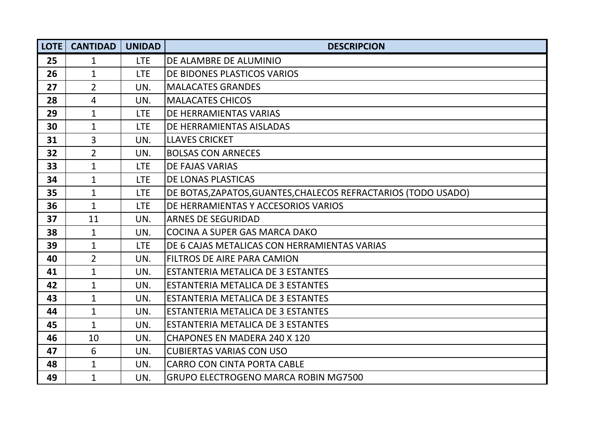| <b>LOTE</b> | <b>CANTIDAD</b> | <b>UNIDAD</b> | <b>DESCRIPCION</b>                                             |
|-------------|-----------------|---------------|----------------------------------------------------------------|
| 25          | $\mathbf{1}$    | <b>LTE</b>    | DE ALAMBRE DE ALUMINIO                                         |
| 26          | $\mathbf{1}$    | <b>LTE</b>    | DE BIDONES PLASTICOS VARIOS                                    |
| 27          | $\overline{2}$  | UN.           | <b>MALACATES GRANDES</b>                                       |
| 28          | 4               | UN.           | <b>MALACATES CHICOS</b>                                        |
| 29          | $\mathbf 1$     | <b>LTE</b>    | DE HERRAMIENTAS VARIAS                                         |
| 30          | $\mathbf{1}$    | <b>LTE</b>    | DE HERRAMIENTAS AISLADAS                                       |
| 31          | 3               | UN.           | <b>LLAVES CRICKET</b>                                          |
| 32          | $\overline{2}$  | UN.           | <b>BOLSAS CON ARNECES</b>                                      |
| 33          | $\mathbf{1}$    | <b>LTE</b>    | <b>DE FAJAS VARIAS</b>                                         |
| 34          | $\mathbf{1}$    | <b>LTE</b>    | DE LONAS PLASTICAS                                             |
| 35          | $\mathbf{1}$    | <b>LTE</b>    | DE BOTAS, ZAPATOS, GUANTES, CHALECOS REFRACTARIOS (TODO USADO) |
| 36          | $\mathbf{1}$    | <b>LTE</b>    | DE HERRAMIENTAS Y ACCESORIOS VARIOS                            |
| 37          | 11              | UN.           | <b>ARNES DE SEGURIDAD</b>                                      |
| 38          | $\mathbf{1}$    | UN.           | COCINA A SUPER GAS MARCA DAKO                                  |
| 39          | $\mathbf{1}$    | <b>LTE</b>    | DE 6 CAJAS METALICAS CON HERRAMIENTAS VARIAS                   |
| 40          | $\overline{2}$  | UN.           | <b>FILTROS DE AIRE PARA CAMION</b>                             |
| 41          | $\mathbf{1}$    | UN.           | <b>ESTANTERIA METALICA DE 3 ESTANTES</b>                       |
| 42          | $\mathbf{1}$    | UN.           | ESTANTERIA METALICA DE 3 ESTANTES                              |
| 43          | $\mathbf{1}$    | UN.           | ESTANTERIA METALICA DE 3 ESTANTES                              |
| 44          | $\mathbf{1}$    | UN.           | ESTANTERIA METALICA DE 3 ESTANTES                              |
| 45          | $\mathbf{1}$    | UN.           | ESTANTERIA METALICA DE 3 ESTANTES                              |
| 46          | 10              | UN.           | <b>CHAPONES EN MADERA 240 X 120</b>                            |
| 47          | 6               | UN.           | <b>CUBIERTAS VARIAS CON USO</b>                                |
| 48          | $\mathbf{1}$    | UN.           | <b>CARRO CON CINTA PORTA CABLE</b>                             |
| 49          | $\mathbf{1}$    | UN.           | GRUPO ELECTROGENO MARCA ROBIN MG7500                           |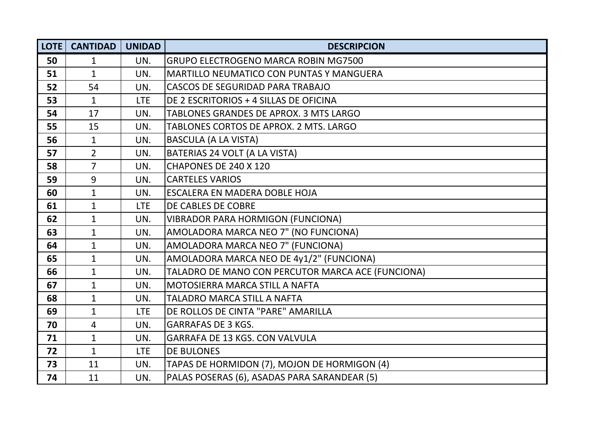| LOTE | <b>CANTIDAD</b> | <b>UNIDAD</b> | <b>DESCRIPCION</b>                                |
|------|-----------------|---------------|---------------------------------------------------|
| 50   | $\mathbf{1}$    | UN.           | <b>GRUPO ELECTROGENO MARCA ROBIN MG7500</b>       |
| 51   | $\mathbf{1}$    | UN.           | <b>MARTILLO NEUMATICO CON PUNTAS Y MANGUERA</b>   |
| 52   | 54              | UN.           | CASCOS DE SEGURIDAD PARA TRABAJO                  |
| 53   | $\mathbf{1}$    | <b>LTE</b>    | DE 2 ESCRITORIOS + 4 SILLAS DE OFICINA            |
| 54   | 17              | UN.           | TABLONES GRANDES DE APROX. 3 MTS LARGO            |
| 55   | 15              | UN.           | TABLONES CORTOS DE APROX. 2 MTS. LARGO            |
| 56   | $\mathbf{1}$    | UN.           | <b>BASCULA (A LA VISTA)</b>                       |
| 57   | $\overline{2}$  | UN.           | BATERIAS 24 VOLT (A LA VISTA)                     |
| 58   | $\overline{7}$  | UN.           | CHAPONES DE 240 X 120                             |
| 59   | 9               | UN.           | <b>CARTELES VARIOS</b>                            |
| 60   | $\mathbf{1}$    | UN.           | ESCALERA EN MADERA DOBLE HOJA                     |
| 61   | $\mathbf{1}$    | <b>LTE</b>    | DE CABLES DE COBRE                                |
| 62   | $\mathbf{1}$    | UN.           | <b>VIBRADOR PARA HORMIGON (FUNCIONA)</b>          |
| 63   | $\mathbf{1}$    | UN.           | AMOLADORA MARCA NEO 7" (NO FUNCIONA)              |
| 64   | $\mathbf{1}$    | UN.           | AMOLADORA MARCA NEO 7" (FUNCIONA)                 |
| 65   | $\mathbf{1}$    | UN.           | AMOLADORA MARCA NEO DE 4y1/2" (FUNCIONA)          |
| 66   | $\mathbf{1}$    | UN.           | TALADRO DE MANO CON PERCUTOR MARCA ACE (FUNCIONA) |
| 67   | $\mathbf{1}$    | UN.           | MOTOSIERRA MARCA STILL A NAFTA                    |
| 68   | $\mathbf{1}$    | UN.           | <b>TALADRO MARCA STILL A NAFTA</b>                |
| 69   | $\mathbf{1}$    | <b>LTE</b>    | DE ROLLOS DE CINTA "PARE" AMARILLA                |
| 70   | 4               | UN.           | <b>GARRAFAS DE 3 KGS.</b>                         |
| 71   | $\mathbf{1}$    | UN.           | <b>GARRAFA DE 13 KGS. CON VALVULA</b>             |
| 72   | $\mathbf{1}$    | <b>LTE</b>    | <b>DE BULONES</b>                                 |
| 73   | 11              | UN.           | TAPAS DE HORMIDON (7), MOJON DE HORMIGON (4)      |
| 74   | 11              | UN.           | PALAS POSERAS (6), ASADAS PARA SARANDEAR (5)      |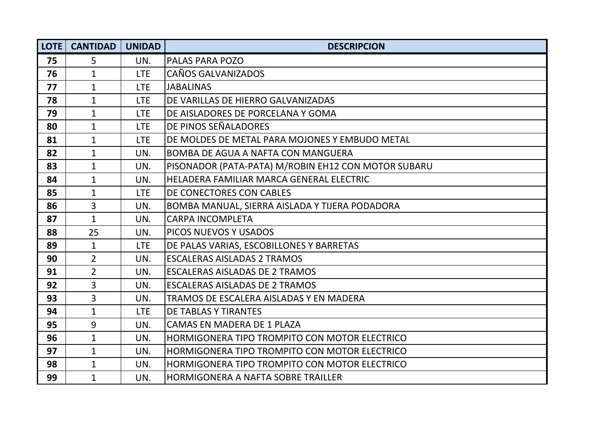| LOTE | <b>CANTIDAD</b> | <b>UNIDAD</b> | <b>DESCRIPCION</b>                                  |
|------|-----------------|---------------|-----------------------------------------------------|
| 75   | 5               | UN.           | PALAS PARA POZO                                     |
| 76   | $\mathbf 1$     | <b>LTE</b>    | CAÑOS GALVANIZADOS                                  |
| 77   | $\mathbf{1}$    | <b>LTE</b>    | <b>JABALINAS</b>                                    |
| 78   | $\mathbf{1}$    | <b>LTE</b>    | DE VARILLAS DE HIERRO GALVANIZADAS                  |
| 79   | $\mathbf{1}$    | LTE           | DE AISLADORES DE PORCELANA Y GOMA                   |
| 80   | $\mathbf{1}$    | <b>LTE</b>    | DE PINOS SEÑALADORES                                |
| 81   | $\mathbf{1}$    | <b>LTE</b>    | DE MOLDES DE METAL PARA MOJONES Y EMBUDO METAL      |
| 82   | $\mathbf{1}$    | UN.           | <b>BOMBA DE AGUA A NAFTA CON MANGUERA</b>           |
| 83   | $\mathbf{1}$    | UN.           | PISONADOR (PATA-PATA) M/ROBIN EH12 CON MOTOR SUBARU |
| 84   | $\mathbf{1}$    | UN.           | HELADERA FAMILIAR MARCA GENERAL ELECTRIC            |
| 85   | $\mathbf{1}$    | <b>LTE</b>    | DE CONECTORES CON CABLES                            |
| 86   | 3               | UN.           | BOMBA MANUAL, SIERRA AISLADA Y TIJERA PODADORA      |
| 87   | $\mathbf{1}$    | UN.           | <b>CARPA INCOMPLETA</b>                             |
| 88   | 25              | UN.           | PICOS NUEVOS Y USADOS                               |
| 89   | $\mathbf{1}$    | <b>LTE</b>    | DE PALAS VARIAS, ESCOBILLONES Y BARRETAS            |
| 90   | $\overline{2}$  | UN.           | <b>ESCALERAS AISLADAS 2 TRAMOS</b>                  |
| 91   | $\overline{2}$  | UN.           | <b>ESCALERAS AISLADAS DE 2 TRAMOS</b>               |
| 92   | 3               | UN.           | <b>ESCALERAS AISLADAS DE 2 TRAMOS</b>               |
| 93   | 3               | UN.           | TRAMOS DE ESCALERA AISLADAS Y EN MADERA             |
| 94   | $\mathbf{1}$    | <b>LTE</b>    | <b>DE TABLAS Y TIRANTES</b>                         |
| 95   | $\overline{9}$  | UN.           | CAMAS EN MADERA DE 1 PLAZA                          |
| 96   | $\mathbf{1}$    | UN.           | HORMIGONERA TIPO TROMPITO CON MOTOR ELECTRICO       |
| 97   | $\mathbf{1}$    | UN.           | HORMIGONERA TIPO TROMPITO CON MOTOR ELECTRICO       |
| 98   | $\mathbf{1}$    | UN.           | HORMIGONERA TIPO TROMPITO CON MOTOR ELECTRICO       |
| 99   | $\mathbf{1}$    | UN.           | <b>HORMIGONERA A NAFTA SOBRE TRAILLER</b>           |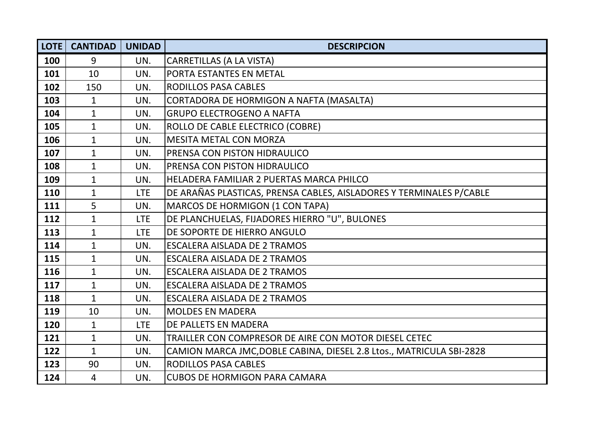| LOTE | <b>CANTIDAD</b> | <b>UNIDAD</b> | <b>DESCRIPCION</b>                                                   |
|------|-----------------|---------------|----------------------------------------------------------------------|
| 100  | 9               | UN.           | <b>CARRETILLAS (A LA VISTA)</b>                                      |
| 101  | 10              | UN.           | PORTA ESTANTES EN METAL                                              |
| 102  | 150             | UN.           | <b>RODILLOS PASA CABLES</b>                                          |
| 103  | $\mathbf{1}$    | UN.           | CORTADORA DE HORMIGON A NAFTA (MASALTA)                              |
| 104  | $\mathbf{1}$    | UN.           | <b>GRUPO ELECTROGENO A NAFTA</b>                                     |
| 105  | $\mathbf{1}$    | UN.           | ROLLO DE CABLE ELECTRICO (COBRE)                                     |
| 106  | $\mathbf{1}$    | UN.           | <b>MESITA METAL CON MORZA</b>                                        |
| 107  | $\mathbf{1}$    | UN.           | PRENSA CON PISTON HIDRAULICO                                         |
| 108  | $\mathbf{1}$    | UN.           | <b>PRENSA CON PISTON HIDRAULICO</b>                                  |
| 109  | $\mathbf{1}$    | UN.           | HELADERA FAMILIAR 2 PUERTAS MARCA PHILCO                             |
| 110  | $\mathbf{1}$    | <b>LTE</b>    | DE ARAÑAS PLASTICAS, PRENSA CABLES, AISLADORES Y TERMINALES P/CABLE  |
| 111  | 5               | UN.           | MARCOS DE HORMIGON (1 CON TAPA)                                      |
| 112  | $\mathbf{1}$    | <b>LTE</b>    | DE PLANCHUELAS, FIJADORES HIERRO "U", BULONES                        |
| 113  | $\mathbf{1}$    | <b>LTE</b>    | DE SOPORTE DE HIERRO ANGULO                                          |
| 114  | $\mathbf{1}$    | UN.           | <b>ESCALERA AISLADA DE 2 TRAMOS</b>                                  |
| 115  | $\mathbf{1}$    | UN.           | ESCALERA AISLADA DE 2 TRAMOS                                         |
| 116  | $\mathbf{1}$    | UN.           | <b>ESCALERA AISLADA DE 2 TRAMOS</b>                                  |
| 117  | $\mathbf{1}$    | UN.           | <b>ESCALERA AISLADA DE 2 TRAMOS</b>                                  |
| 118  | $\mathbf{1}$    | UN.           | <b>ESCALERA AISLADA DE 2 TRAMOS</b>                                  |
| 119  | 10              | UN.           | <b>MOLDES EN MADERA</b>                                              |
| 120  | $\mathbf{1}$    | <b>LTE</b>    | DE PALLETS EN MADERA                                                 |
| 121  | $\mathbf{1}$    | UN.           | TRAILLER CON COMPRESOR DE AIRE CON MOTOR DIESEL CETEC                |
| 122  | $\mathbf 1$     | UN.           | CAMION MARCA JMC, DOBLE CABINA, DIESEL 2.8 Ltos., MATRICULA SBI-2828 |
| 123  | 90              | UN.           | RODILLOS PASA CABLES                                                 |
| 124  | 4               | UN.           | <b>CUBOS DE HORMIGON PARA CAMARA</b>                                 |